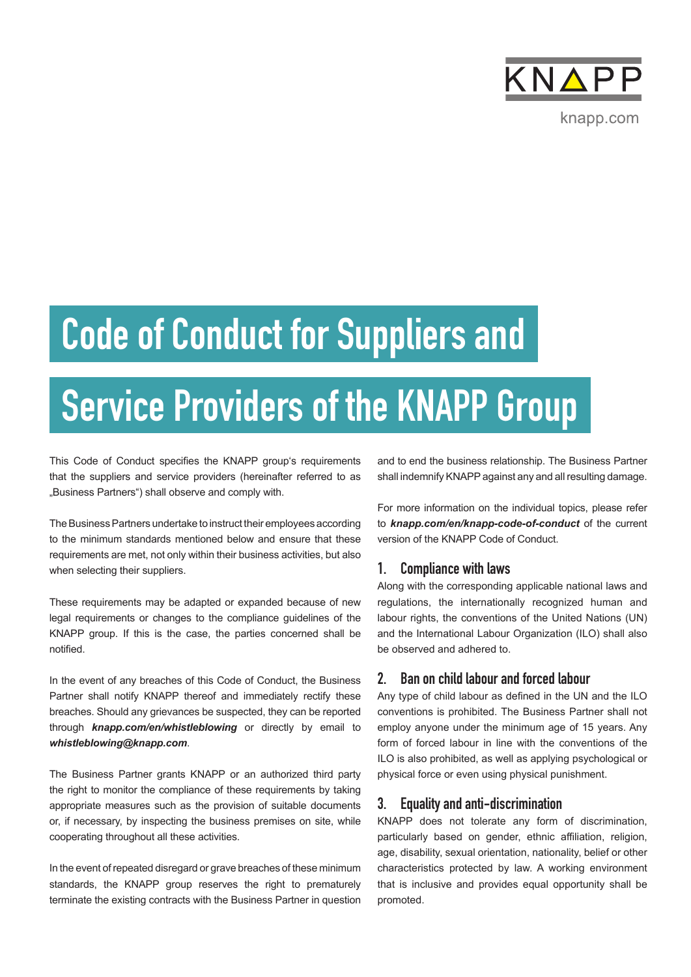

# Code of Conduct for Suppliers and

# Service Providers of the KNAPP Group

This Code of Conduct specifies the KNAPP group's requirements that the suppliers and service providers (hereinafter referred to as "Business Partners") shall observe and comply with.

The Business Partners undertake to instruct their employees according to the minimum standards mentioned below and ensure that these requirements are met, not only within their business activities, but also when selecting their suppliers.

These requirements may be adapted or expanded because of new legal requirements or changes to the compliance guidelines of the KNAPP group. If this is the case, the parties concerned shall be notified.

In the event of any breaches of this Code of Conduct, the Business Partner shall notify KNAPP thereof and immediately rectify these breaches. Should any grievances be suspected, they can be reported through *knapp.com/en/whistleblowing* or directly by email to *whistleblowing@knapp.com*.

The Business Partner grants KNAPP or an authorized third party the right to monitor the compliance of these requirements by taking appropriate measures such as the provision of suitable documents or, if necessary, by inspecting the business premises on site, while cooperating throughout all these activities.

In the event of repeated disregard or grave breaches of these minimum standards, the KNAPP group reserves the right to prematurely terminate the existing contracts with the Business Partner in question and to end the business relationship. The Business Partner shall indemnify KNAPP against any and all resulting damage.

For more information on the individual topics, please refer to *knapp.com/en/knapp-code-of-conduct* of the current version of the KNAPP Code of Conduct.

# 1. Compliance with laws

Along with the corresponding applicable national laws and regulations, the internationally recognized human and labour rights, the conventions of the United Nations (UN) and the International Labour Organization (ILO) shall also be observed and adhered to.

# 2. Ban on child labour and forced labour

Any type of child labour as defined in the UN and the ILO conventions is prohibited. The Business Partner shall not employ anyone under the minimum age of 15 years. Any form of forced labour in line with the conventions of the ILO is also prohibited, as well as applying psychological or physical force or even using physical punishment.

# 3. Equality and anti-discrimination

KNAPP does not tolerate any form of discrimination, particularly based on gender, ethnic affiliation, religion, age, disability, sexual orientation, nationality, belief or other characteristics protected by law. A working environment that is inclusive and provides equal opportunity shall be promoted.